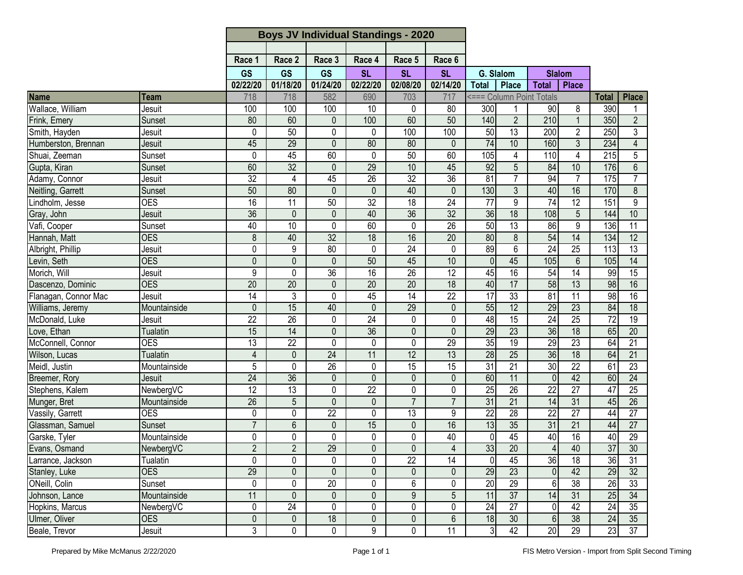|                      |                 | <b>Boys JV Individual Standings - 2020</b> |                 |                 |                 |                 |                 |                 |                          |                 |                 |                  |                 |
|----------------------|-----------------|--------------------------------------------|-----------------|-----------------|-----------------|-----------------|-----------------|-----------------|--------------------------|-----------------|-----------------|------------------|-----------------|
|                      |                 |                                            |                 |                 |                 |                 |                 |                 |                          |                 |                 |                  |                 |
|                      |                 | Race 1                                     | Race 2          | Race 3          | Race 4          | Race 5          | Race 6          |                 |                          |                 |                 |                  |                 |
|                      |                 | <b>GS</b>                                  | <b>GS</b>       | <b>GS</b>       | <b>SL</b>       | <b>SL</b>       | <b>SL</b>       | G. Slalom       |                          | <b>Slalom</b>   |                 |                  |                 |
|                      |                 | 02/22/20                                   | 01/18/20        | 01/24/20        | 02/22/20        | 02/08/20        | 02/14/20        | <b>Total</b>    | Place                    | <b>Total</b>    | <b>Place</b>    |                  |                 |
| Name                 | Team            | 718                                        | 718             | 582             | 690             | 703             | 717             |                 | <=== Column Point Totals |                 |                 | <b>Total</b>     | <b>Place</b>    |
| Wallace, William     | Jesuit          | 100                                        | 100             | 100             | 10              | 0               | 80              | 300             |                          | 90              | 8               | 390              |                 |
| Frink, Emery         | Sunset          | 80                                         | 60              | $\mathbf 0$     | 100             | 60              | 50              | 140             | $\overline{2}$           | 210             | $\overline{1}$  | 350              | $\overline{2}$  |
| Smith, Hayden        | Jesuit          | 0                                          | 50              | $\pmb{0}$       | 0               | 100             | 100             | 50              | $\overline{13}$          | 200             | $\overline{2}$  | 250              | $\overline{3}$  |
| Humberston, Brennan  | Jesuit          | 45                                         | 29              | $\mathbf 0$     | 80              | 80              | $\mathbf{0}$    | $\overline{74}$ | 10                       | 160             | $\mathfrak{Z}$  | 234              | $\overline{4}$  |
| Shuai, Zeeman        | Sunset          | 0                                          | 45              | 60              | 0               | 50              | 60              | 105             | 4                        | 110             | $\overline{4}$  | $\overline{215}$ | 5               |
| Gupta, Kiran         | Sunset          | 60                                         | 32              | $\mathbf{0}$    | 29              | 10              | 45              | 92              | $\overline{5}$           | 84              | 10              | 176              | $\overline{6}$  |
| Adamy, Connor        | Jesuit          | 32                                         | 4               | 45              | 26              | 32              | $\overline{36}$ | 81              | $\overline{7}$           | 94              | $\overline{7}$  | 175              | $\overline{7}$  |
| Neitling, Garrett    | Sunset          | 50                                         | 80              | 0               | $\mathbf{0}$    | 40              | $\overline{0}$  | 130             | $\overline{3}$           | 40              | 16              | 170              | 8               |
| Lindholm, Jesse      | <b>OES</b>      | 16                                         | 11              | 50              | 32              | 18              | 24              | 77              | 9                        | 74              | $\overline{12}$ | 151              | 9               |
| Gray, John           | Jesuit          | 36                                         | $\mathbf{0}$    | $\mathbf 0$     | 40              | 36              | 32              | 36              | 18                       | 108             | 5               | 144              | 10              |
| Vafi, Cooper         | Sunset          | 40                                         | 10              | $\pmb{0}$       | 60              | 0               | 26              | 50              | 13                       | 86              | 9               | 136              | $\overline{11}$ |
| Hannah, Matt         | <b>OES</b>      | 8                                          | 40              | 32              | $\overline{18}$ | 16              | $\overline{20}$ | 80              | $\overline{8}$           | 54              | 14              | 134              | $\overline{12}$ |
| Albright, Phillip    | Jesuit          | 0                                          | 9               | 80              | 0               | $\overline{24}$ | 0               | 89              | $\overline{6}$           | 24              | 25              | 113              | $\overline{13}$ |
| Levin, Seth          | <b>OES</b>      | $\overline{0}$                             | 0               | $\mathbf{0}$    | 50              | 45              | 10              | $\mathbf{0}$    | 45                       | 105             | $6\phantom{1}6$ | 105              | $\overline{14}$ |
| Morich, Will         | Jesuit          | 9                                          | 0               | 36              | $\overline{16}$ | $\overline{26}$ | $\overline{12}$ | 45              | 16                       | 54              | $\overline{14}$ | 99               | $\overline{15}$ |
| Dascenzo, Dominic    | <b>OES</b>      | $\overline{20}$                            | 20              | $\mathbf 0$     | $\overline{20}$ | $\overline{20}$ | $\overline{18}$ | 40              | 17                       | 58              | 13              | 98               | 16              |
| Flanagan, Connor Mac | Jesuit          | 14                                         | 3               | 0               | 45              | $\overline{14}$ | $\overline{22}$ | $\overline{17}$ | 33                       | 81              | $\overline{11}$ | 98               | 16              |
| Williams, Jeremy     | Mountainside    | 0                                          | 15              | 40              | $\mathbf{0}$    | 29              | $\mathbf{0}$    | 55              | 12                       | 29              | $\overline{23}$ | 84               | 18              |
| McDonald, Luke       | Jesuit          | $\overline{22}$                            | 26              | 0               | 24              | 0               | 0               | 48              | 15                       | 24              | 25              | $\overline{72}$  | 19              |
| Love, Ethan          | <b>Tualatin</b> | $\overline{15}$                            | $\overline{14}$ | 0               | $\overline{36}$ | $\mathbf 0$     | 0               | 29              | $\overline{23}$          | 36              | $\overline{18}$ | 65               | $\overline{20}$ |
| McConnell, Connor    | <b>OES</b>      | 13                                         | 22              | 0               | 0               | 0               | 29              | 35              | 19                       | 29              | $\overline{23}$ | 64               | 21              |
| Wilson, Lucas        | <b>Tualatin</b> | $\overline{\mathbf{4}}$                    | 0               | 24              | 11              | 12              | 13              | 28              | $\overline{25}$          | 36              | 18              | 64               | 21              |
| Meidl, Justin        | Mountainside    | 5                                          | 0               | $\overline{26}$ | 0               | $\overline{15}$ | $\overline{15}$ | $\overline{31}$ | $\overline{21}$          | 30              | $\overline{22}$ | 61               | $\overline{23}$ |
| Breemer, Rory        | Jesuit          | 24                                         | 36              | 0               | $\mathbf{0}$    | 0               | 0               | 60              | 11                       | $\Omega$        | 42              | 60               | $\overline{24}$ |
| Stephens, Kalem      | NewbergVC       | 12                                         | 13              | $\pmb{0}$       | $\overline{22}$ | 0               | 0               | 25              | 26                       | $\overline{22}$ | $\overline{27}$ | 47               | 25              |
| Munger, Bret         | Mountainside    | $\overline{26}$                            | 5               | $\mathbf 0$     | $\mathbf 0$     | $\overline{7}$  | $\overline{7}$  | $\overline{31}$ | 21                       | 14              | 31              | 45               | 26              |
| Vassily, Garrett     | <b>OES</b>      | 0                                          | 0               | 22              | 0               | 13              | 9               | $\overline{22}$ | 28                       | $\overline{22}$ | $\overline{27}$ | 44               | 27              |
| Glassman, Samuel     | Sunset          | $\overline{7}$                             | 6               | $\mathbf 0$     | 15              | $\mathbf 0$     | 16              | 13              | $\overline{35}$          | 31              | $\overline{21}$ | 44               | $\overline{27}$ |
| Garske, Tyler        | Mountainside    | 0                                          | 0               | 0               | 0               | 0               | 40              | 0               | 45                       | 40              | 16              | 40               | 29              |
| Evans, Osmand        | NewbergVC       | $\overline{2}$                             | $\overline{2}$  | 29              | $\mathbf 0$     | $\mathbf 0$     | $\overline{4}$  | 33              | 20                       | $\Delta$        | 40              | 37               | 30              |
| Larrance, Jackson    | Tualatin        | 0                                          | 0               | 0               | 0               | $\overline{22}$ | $\overline{14}$ | 0               | 45                       | 36              | $\overline{18}$ | 36               | 31              |
| Stanley, Luke        | <b>OES</b>      | $\overline{29}$                            | 0               | $\mathbf{0}$    | 0               | 0               | 0               | 29              | 23                       | $\overline{0}$  | 42              | 29               | 32              |
| ONeill, Colin        | Sunset          | 0                                          | 0               | 20              | 0               | 6               | 0               | 20              | 29                       | $6 \mid$        | 38              | 26               | 33              |
| Johnson, Lance       | Mountainside    | 11                                         | 0               | $\mathbf 0$     | $\overline{0}$  | $\overline{9}$  | $\overline{5}$  | 11              | $\overline{37}$          | 14              | 31              | 25               | 34              |
| Hopkins, Marcus      | NewbergVC       | 0                                          | 24              | 0               | 0               | 0               | 0               | 24              | $\overline{27}$          | 0               | 42              | $\overline{24}$  | 35              |
| Ulmer, Oliver        | <b>OES</b>      | 0                                          | $\pmb{0}$       | 18              | $\pmb{0}$       | $\mathbf 0$     | 6               | 18              | 30                       | $6 \,$          | 38              | 24               | 35              |
| Beale, Trevor        | Jesuit          | 3                                          | 0               | $\mathbf 0$     | 9               | 0               | 11              | 3               | 42                       | 20              | 29              | 23               | 37              |